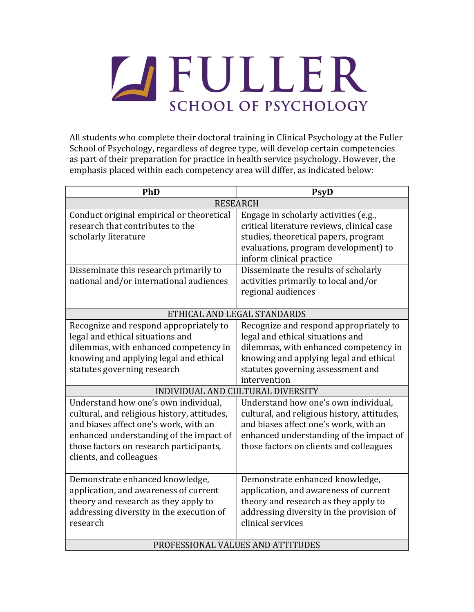

All students who complete their doctoral training in Clinical Psychology at the Fuller School of Psychology, regardless of degree type, will develop certain competencies as part of their preparation for practice in health service psychology. However, the emphasis placed within each competency area will differ, as indicated below:

| PhD                                                                                                                                                                                                                                                                                                                          | <b>PsyD</b>                                                                                                                                                                                                                                                                                                                                                                             |
|------------------------------------------------------------------------------------------------------------------------------------------------------------------------------------------------------------------------------------------------------------------------------------------------------------------------------|-----------------------------------------------------------------------------------------------------------------------------------------------------------------------------------------------------------------------------------------------------------------------------------------------------------------------------------------------------------------------------------------|
| <b>RESEARCH</b>                                                                                                                                                                                                                                                                                                              |                                                                                                                                                                                                                                                                                                                                                                                         |
| Conduct original empirical or theoretical<br>research that contributes to the<br>scholarly literature                                                                                                                                                                                                                        | Engage in scholarly activities (e.g.,<br>critical literature reviews, clinical case<br>studies, theoretical papers, program<br>evaluations, program development) to<br>inform clinical practice                                                                                                                                                                                         |
| Disseminate this research primarily to<br>national and/or international audiences                                                                                                                                                                                                                                            | Disseminate the results of scholarly<br>activities primarily to local and/or<br>regional audiences                                                                                                                                                                                                                                                                                      |
| ETHICAL AND LEGAL STANDARDS                                                                                                                                                                                                                                                                                                  |                                                                                                                                                                                                                                                                                                                                                                                         |
| Recognize and respond appropriately to<br>legal and ethical situations and<br>dilemmas, with enhanced competency in<br>knowing and applying legal and ethical<br>statutes governing research<br>Understand how one's own individual,<br>cultural, and religious history, attitudes,<br>and biases affect one's work, with an | Recognize and respond appropriately to<br>legal and ethical situations and<br>dilemmas, with enhanced competency in<br>knowing and applying legal and ethical<br>statutes governing assessment and<br>intervention<br>INDIVIDUAL AND CULTURAL DIVERSITY<br>Understand how one's own individual,<br>cultural, and religious history, attitudes,<br>and biases affect one's work, with an |
| enhanced understanding of the impact of<br>those factors on research participants,<br>clients, and colleagues                                                                                                                                                                                                                | enhanced understanding of the impact of<br>those factors on clients and colleagues                                                                                                                                                                                                                                                                                                      |
| Demonstrate enhanced knowledge,<br>application, and awareness of current<br>theory and research as they apply to<br>addressing diversity in the execution of<br>research                                                                                                                                                     | Demonstrate enhanced knowledge,<br>application, and awareness of current<br>theory and research as they apply to<br>addressing diversity in the provision of<br>clinical services                                                                                                                                                                                                       |
| PROFESSIONAL VALUES AND ATTITUDES                                                                                                                                                                                                                                                                                            |                                                                                                                                                                                                                                                                                                                                                                                         |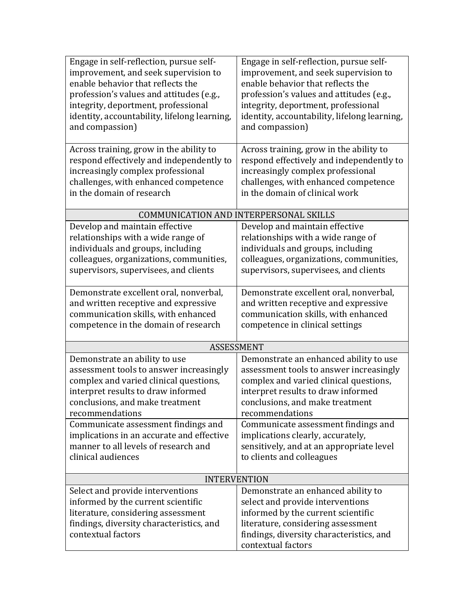| Engage in self-reflection, pursue self-<br>improvement, and seek supervision to                                                                                                               | Engage in self-reflection, pursue self-<br>improvement, and seek supervision to                                                                                                                    |  |
|-----------------------------------------------------------------------------------------------------------------------------------------------------------------------------------------------|----------------------------------------------------------------------------------------------------------------------------------------------------------------------------------------------------|--|
| enable behavior that reflects the                                                                                                                                                             | enable behavior that reflects the                                                                                                                                                                  |  |
| profession's values and attitudes (e.g.,<br>integrity, deportment, professional                                                                                                               | profession's values and attitudes (e.g.,<br>integrity, deportment, professional                                                                                                                    |  |
| identity, accountability, lifelong learning,                                                                                                                                                  | identity, accountability, lifelong learning,                                                                                                                                                       |  |
| and compassion)                                                                                                                                                                               | and compassion)                                                                                                                                                                                    |  |
|                                                                                                                                                                                               |                                                                                                                                                                                                    |  |
| Across training, grow in the ability to<br>respond effectively and independently to<br>increasingly complex professional<br>challenges, with enhanced competence<br>in the domain of research | Across training, grow in the ability to<br>respond effectively and independently to<br>increasingly complex professional<br>challenges, with enhanced competence<br>in the domain of clinical work |  |
| COMMUNICATION AND INTERPERSONAL SKILLS                                                                                                                                                        |                                                                                                                                                                                                    |  |
| Develop and maintain effective                                                                                                                                                                | Develop and maintain effective                                                                                                                                                                     |  |
| relationships with a wide range of                                                                                                                                                            | relationships with a wide range of                                                                                                                                                                 |  |
| individuals and groups, including                                                                                                                                                             | individuals and groups, including                                                                                                                                                                  |  |
| colleagues, organizations, communities,<br>supervisors, supervisees, and clients                                                                                                              | colleagues, organizations, communities,<br>supervisors, supervisees, and clients                                                                                                                   |  |
|                                                                                                                                                                                               |                                                                                                                                                                                                    |  |
| Demonstrate excellent oral, nonverbal,                                                                                                                                                        | Demonstrate excellent oral, nonverbal,                                                                                                                                                             |  |
| and written receptive and expressive                                                                                                                                                          | and written receptive and expressive                                                                                                                                                               |  |
| communication skills, with enhanced                                                                                                                                                           | communication skills, with enhanced                                                                                                                                                                |  |
| competence in the domain of research                                                                                                                                                          | competence in clinical settings                                                                                                                                                                    |  |
| <b>ASSESSMENT</b>                                                                                                                                                                             |                                                                                                                                                                                                    |  |
| Demonstrate an ability to use                                                                                                                                                                 | Demonstrate an enhanced ability to use                                                                                                                                                             |  |
| assessment tools to answer increasingly                                                                                                                                                       | assessment tools to answer increasingly                                                                                                                                                            |  |
| complex and varied clinical questions,                                                                                                                                                        | complex and varied clinical questions,                                                                                                                                                             |  |
| interpret results to draw informed<br>conclusions, and make treatment                                                                                                                         | interpret results to draw informed<br>conclusions, and make treatment                                                                                                                              |  |
| recommendations                                                                                                                                                                               | recommendations                                                                                                                                                                                    |  |
| Communicate assessment findings and                                                                                                                                                           | Communicate assessment findings and                                                                                                                                                                |  |
| implications in an accurate and effective                                                                                                                                                     | implications clearly, accurately,                                                                                                                                                                  |  |
| manner to all levels of research and                                                                                                                                                          | sensitively, and at an appropriate level                                                                                                                                                           |  |
| clinical audiences                                                                                                                                                                            | to clients and colleagues                                                                                                                                                                          |  |
|                                                                                                                                                                                               |                                                                                                                                                                                                    |  |
|                                                                                                                                                                                               | <b>INTERVENTION</b>                                                                                                                                                                                |  |
| Select and provide interventions<br>informed by the current scientific                                                                                                                        | Demonstrate an enhanced ability to<br>select and provide interventions                                                                                                                             |  |
| literature, considering assessment                                                                                                                                                            | informed by the current scientific                                                                                                                                                                 |  |
| findings, diversity characteristics, and                                                                                                                                                      | literature, considering assessment                                                                                                                                                                 |  |
| contextual factors                                                                                                                                                                            | findings, diversity characteristics, and                                                                                                                                                           |  |
|                                                                                                                                                                                               | contextual factors                                                                                                                                                                                 |  |